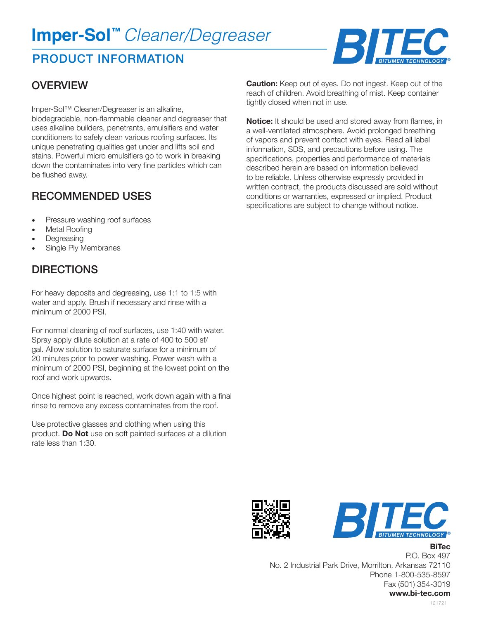# **Imper-Sol™** *Cleaner/Degreaser*

## PRODUCT INFORMATION



#### **OVERVIEW**

Imper-Sol™ Cleaner/Degreaser is an alkaline, biodegradable, non-flammable cleaner and degreaser that uses alkaline builders, penetrants, emulsifiers and water conditioners to safely clean various roofing surfaces. Its unique penetrating qualities get under and lifts soil and stains. Powerful micro emulsifiers go to work in breaking down the contaminates into very fine particles which can be flushed away.

#### RECOMMENDED USES

- Pressure washing roof surfaces
- Metal Roofing
- **Degreasing**
- Single Ply Membranes

### **DIRECTIONS**

For heavy deposits and degreasing, use 1:1 to 1:5 with water and apply. Brush if necessary and rinse with a minimum of 2000 PSI.

For normal cleaning of roof surfaces, use 1:40 with water. Spray apply dilute solution at a rate of 400 to 500 sf/ gal. Allow solution to saturate surface for a minimum of 20 minutes prior to power washing. Power wash with a minimum of 2000 PSI, beginning at the lowest point on the roof and work upwards.

Once highest point is reached, work down again with a final rinse to remove any excess contaminates from the roof.

Use protective glasses and clothing when using this product. **Do Not** use on soft painted surfaces at a dilution rate less than 1:30.

**Caution:** Keep out of eyes. Do not ingest. Keep out of the reach of children. Avoid breathing of mist. Keep container tightly closed when not in use.

**Notice:** It should be used and stored away from flames, in a well-ventilated atmosphere. Avoid prolonged breathing of vapors and prevent contact with eyes. Read all label information, SDS, and precautions before using. The specifications, properties and performance of materials described herein are based on information believed to be reliable. Unless otherwise expressly provided in written contract, the products discussed are sold without conditions or warranties, expressed or implied. Product specifications are subject to change without notice.





**BiTec**

P.O. Box 497 No. 2 Industrial Park Drive, Morrilton, Arkansas 72110 Phone 1-800-535-8597 Fax (501) 354-3019 **www.bi-tec.com**

121721